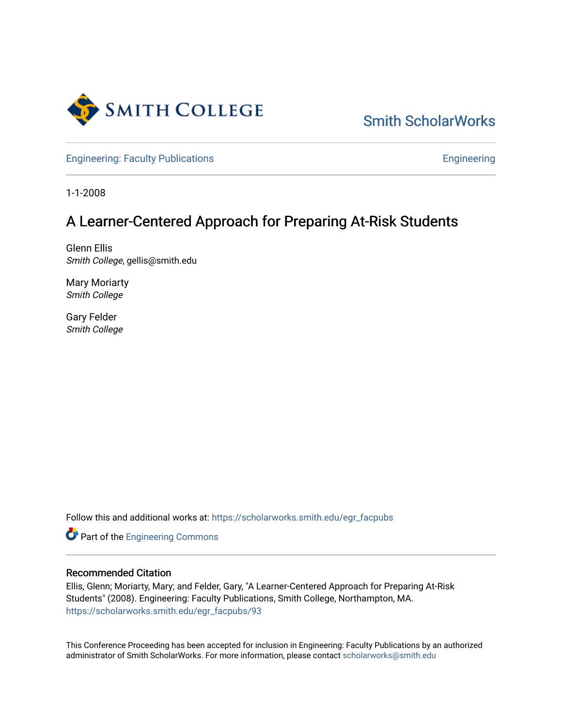

# [Smith ScholarWorks](https://scholarworks.smith.edu/)

[Engineering: Faculty Publications](https://scholarworks.smith.edu/egr_facpubs) **Engineering** 

1-1-2008

## A Learner-Centered Approach for Preparing At-Risk Students

Glenn Ellis Smith College, gellis@smith.edu

Mary Moriarty Smith College

Gary Felder Smith College

Follow this and additional works at: [https://scholarworks.smith.edu/egr\\_facpubs](https://scholarworks.smith.edu/egr_facpubs?utm_source=scholarworks.smith.edu%2Fegr_facpubs%2F93&utm_medium=PDF&utm_campaign=PDFCoverPages) 

Part of the [Engineering Commons](http://network.bepress.com/hgg/discipline/217?utm_source=scholarworks.smith.edu%2Fegr_facpubs%2F93&utm_medium=PDF&utm_campaign=PDFCoverPages)

#### Recommended Citation

Ellis, Glenn; Moriarty, Mary; and Felder, Gary, "A Learner-Centered Approach for Preparing At-Risk Students" (2008). Engineering: Faculty Publications, Smith College, Northampton, MA. [https://scholarworks.smith.edu/egr\\_facpubs/93](https://scholarworks.smith.edu/egr_facpubs/93?utm_source=scholarworks.smith.edu%2Fegr_facpubs%2F93&utm_medium=PDF&utm_campaign=PDFCoverPages)

This Conference Proceeding has been accepted for inclusion in Engineering: Faculty Publications by an authorized administrator of Smith ScholarWorks. For more information, please contact [scholarworks@smith.edu](mailto:scholarworks@smith.edu)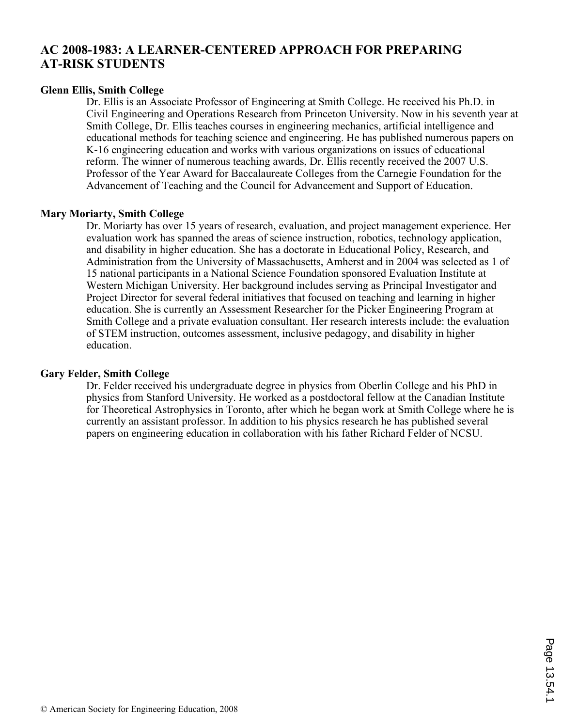## **AC 2008-1983: A LEARNER-CENTERED APPROACH FOR PREPARING AT-RISK STUDENTS**

#### **Glenn Ellis, Smith College**

Dr. Ellis is an Associate Professor of Engineering at Smith College. He received his Ph.D. in Civil Engineering and Operations Research from Princeton University. Now in his seventh year at Smith College, Dr. Ellis teaches courses in engineering mechanics, artificial intelligence and educational methods for teaching science and engineering. He has published numerous papers on K-16 engineering education and works with various organizations on issues of educational reform. The winner of numerous teaching awards, Dr. Ellis recently received the 2007 U.S. Professor of the Year Award for Baccalaureate Colleges from the Carnegie Foundation for the Advancement of Teaching and the Council for Advancement and Support of Education.

#### **Mary Moriarty, Smith College**

Dr. Moriarty has over 15 years of research, evaluation, and project management experience. Her evaluation work has spanned the areas of science instruction, robotics, technology application, and disability in higher education. She has a doctorate in Educational Policy, Research, and Administration from the University of Massachusetts, Amherst and in 2004 was selected as 1 of 15 national participants in a National Science Foundation sponsored Evaluation Institute at Western Michigan University. Her background includes serving as Principal Investigator and Project Director for several federal initiatives that focused on teaching and learning in higher education. She is currently an Assessment Researcher for the Picker Engineering Program at Smith College and a private evaluation consultant. Her research interests include: the evaluation of STEM instruction, outcomes assessment, inclusive pedagogy, and disability in higher education.

#### **Gary Felder, Smith College**

Dr. Felder received his undergraduate degree in physics from Oberlin College and his PhD in physics from Stanford University. He worked as a postdoctoral fellow at the Canadian Institute for Theoretical Astrophysics in Toronto, after which he began work at Smith College where he is currently an assistant professor. In addition to his physics research he has published several papers on engineering education in collaboration with his father Richard Felder of NCSU.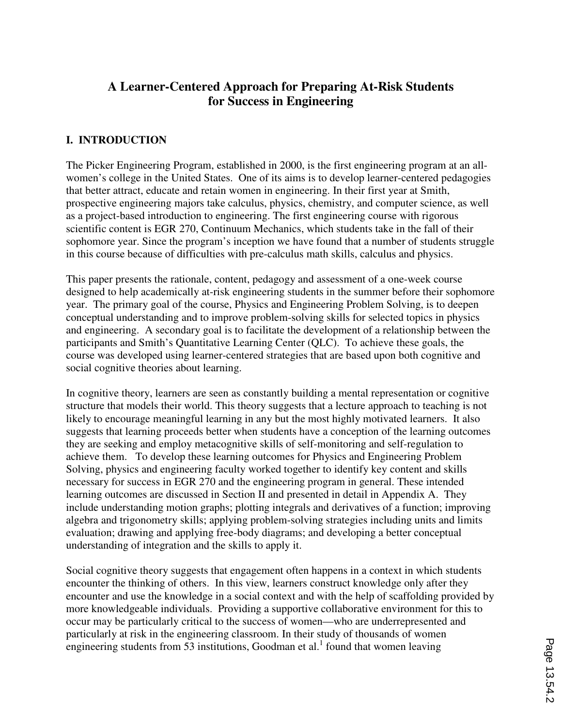## **A Learner-Centered Approach for Preparing At-Risk Students for Success in Engineering**

#### **I. INTRODUCTION**

The Picker Engineering Program, established in 2000, is the first engineering program at an allwomen's college in the United States. One of its aims is to develop learner-centered pedagogies that better attract, educate and retain women in engineering. In their first year at Smith, prospective engineering majors take calculus, physics, chemistry, and computer science, as well as a project-based introduction to engineering. The first engineering course with rigorous scientific content is EGR 270, Continuum Mechanics, which students take in the fall of their sophomore year. Since the program's inception we have found that a number of students struggle in this course because of difficulties with pre-calculus math skills, calculus and physics.

This paper presents the rationale, content, pedagogy and assessment of a one-week course designed to help academically at-risk engineering students in the summer before their sophomore year. The primary goal of the course, Physics and Engineering Problem Solving, is to deepen conceptual understanding and to improve problem-solving skills for selected topics in physics and engineering. A secondary goal is to facilitate the development of a relationship between the participants and Smith's Quantitative Learning Center (QLC). To achieve these goals, the course was developed using learner-centered strategies that are based upon both cognitive and social cognitive theories about learning.

In cognitive theory, learners are seen as constantly building a mental representation or cognitive structure that models their world. This theory suggests that a lecture approach to teaching is not likely to encourage meaningful learning in any but the most highly motivated learners. It also suggests that learning proceeds better when students have a conception of the learning outcomes they are seeking and employ metacognitive skills of self-monitoring and self-regulation to achieve them. To develop these learning outcomes for Physics and Engineering Problem Solving, physics and engineering faculty worked together to identify key content and skills necessary for success in EGR 270 and the engineering program in general. These intended learning outcomes are discussed in Section II and presented in detail in Appendix A. They include understanding motion graphs; plotting integrals and derivatives of a function; improving algebra and trigonometry skills; applying problem-solving strategies including units and limits evaluation; drawing and applying free-body diagrams; and developing a better conceptual understanding of integration and the skills to apply it.

Social cognitive theory suggests that engagement often happens in a context in which students encounter the thinking of others. In this view, learners construct knowledge only after they encounter and use the knowledge in a social context and with the help of scaffolding provided by more knowledgeable individuals. Providing a supportive collaborative environment for this to occur may be particularly critical to the success of women—who are underrepresented and particularly at risk in the engineering classroom. In their study of thousands of women engineering students from  $53$  institutions, Goodman et al.<sup>1</sup> found that women leaving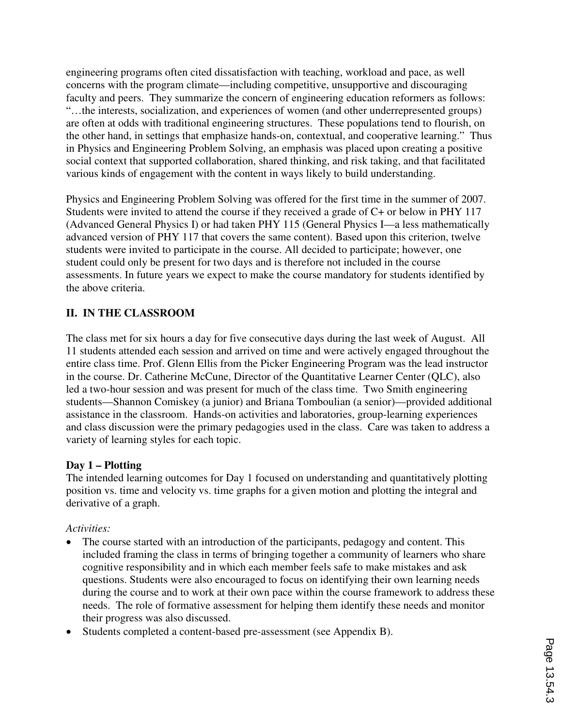engineering programs often cited dissatisfaction with teaching, workload and pace, as well concerns with the program climate—including competitive, unsupportive and discouraging faculty and peers. They summarize the concern of engineering education reformers as follows: "…the interests, socialization, and experiences of women (and other underrepresented groups) are often at odds with traditional engineering structures. These populations tend to flourish, on the other hand, in settings that emphasize hands-on, contextual, and cooperative learning." Thus in Physics and Engineering Problem Solving, an emphasis was placed upon creating a positive social context that supported collaboration, shared thinking, and risk taking, and that facilitated various kinds of engagement with the content in ways likely to build understanding.

Physics and Engineering Problem Solving was offered for the first time in the summer of 2007. Students were invited to attend the course if they received a grade of C+ or below in PHY 117 (Advanced General Physics I) or had taken PHY 115 (General Physics I—a less mathematically advanced version of PHY 117 that covers the same content). Based upon this criterion, twelve students were invited to participate in the course. All decided to participate; however, one student could only be present for two days and is therefore not included in the course assessments. In future years we expect to make the course mandatory for students identified by the above criteria.

## **II. IN THE CLASSROOM**

The class met for six hours a day for five consecutive days during the last week of August. All 11 students attended each session and arrived on time and were actively engaged throughout the entire class time. Prof. Glenn Ellis from the Picker Engineering Program was the lead instructor in the course. Dr. Catherine McCune, Director of the Quantitative Learner Center (QLC), also led a two-hour session and was present for much of the class time. Two Smith engineering students—Shannon Comiskey (a junior) and Briana Tomboulian (a senior)—provided additional assistance in the classroom. Hands-on activities and laboratories, group-learning experiences and class discussion were the primary pedagogies used in the class. Care was taken to address a variety of learning styles for each topic.

#### **Day 1 – Plotting**

The intended learning outcomes for Day 1 focused on understanding and quantitatively plotting position vs. time and velocity vs. time graphs for a given motion and plotting the integral and derivative of a graph.

#### *Activities:*

- The course started with an introduction of the participants, pedagogy and content. This included framing the class in terms of bringing together a community of learners who share cognitive responsibility and in which each member feels safe to make mistakes and ask questions. Students were also encouraged to focus on identifying their own learning needs during the course and to work at their own pace within the course framework to address these needs. The role of formative assessment for helping them identify these needs and monitor their progress was also discussed.
- Students completed a content-based pre-assessment (see Appendix B).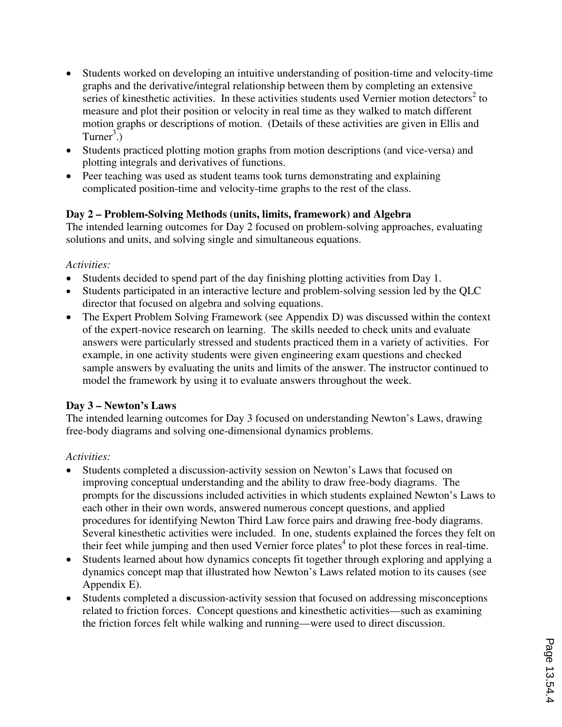- Students worked on developing an intuitive understanding of position-time and velocity-time graphs and the derivative/integral relationship between them by completing an extensive series of kinesthetic activities. In these activities students used Vernier motion detectors<sup>2</sup> to measure and plot their position or velocity in real time as they walked to match different motion graphs or descriptions of motion. (Details of these activities are given in Ellis and Turner<sup>3</sup>.)
- Students practiced plotting motion graphs from motion descriptions (and vice-versa) and plotting integrals and derivatives of functions.
- Peer teaching was used as student teams took turns demonstrating and explaining complicated position-time and velocity-time graphs to the rest of the class.

### **Day 2 – Problem-Solving Methods (units, limits, framework) and Algebra**

The intended learning outcomes for Day 2 focused on problem-solving approaches, evaluating solutions and units, and solving single and simultaneous equations.

#### *Activities:*

- Students decided to spend part of the day finishing plotting activities from Day 1.
- Students participated in an interactive lecture and problem-solving session led by the QLC director that focused on algebra and solving equations.
- The Expert Problem Solving Framework (see Appendix D) was discussed within the context of the expert-novice research on learning. The skills needed to check units and evaluate answers were particularly stressed and students practiced them in a variety of activities. For example, in one activity students were given engineering exam questions and checked sample answers by evaluating the units and limits of the answer. The instructor continued to model the framework by using it to evaluate answers throughout the week.

### **Day 3 – Newton's Laws**

The intended learning outcomes for Day 3 focused on understanding Newton's Laws, drawing free-body diagrams and solving one-dimensional dynamics problems.

### *Activities:*

- Students completed a discussion-activity session on Newton's Laws that focused on improving conceptual understanding and the ability to draw free-body diagrams. The prompts for the discussions included activities in which students explained Newton's Laws to each other in their own words, answered numerous concept questions, and applied procedures for identifying Newton Third Law force pairs and drawing free-body diagrams. Several kinesthetic activities were included. In one, students explained the forces they felt on their feet while jumping and then used Vernier force plates<sup>4</sup> to plot these forces in real-time.
- Students learned about how dynamics concepts fit together through exploring and applying a dynamics concept map that illustrated how Newton's Laws related motion to its causes (see Appendix E).
- Students completed a discussion-activity session that focused on addressing misconceptions related to friction forces. Concept questions and kinesthetic activities—such as examining the friction forces felt while walking and running—were used to direct discussion.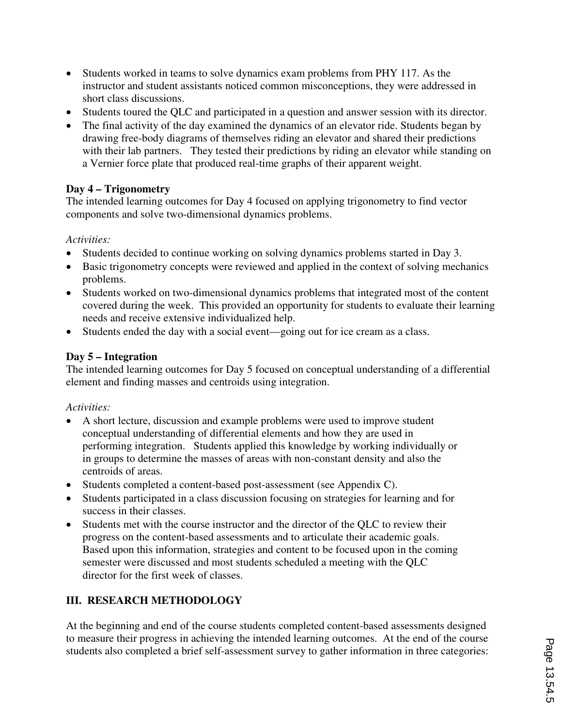- Students worked in teams to solve dynamics exam problems from PHY 117. As the instructor and student assistants noticed common misconceptions, they were addressed in short class discussions.
- Students toured the QLC and participated in a question and answer session with its director.
- The final activity of the day examined the dynamics of an elevator ride. Students began by drawing free-body diagrams of themselves riding an elevator and shared their predictions with their lab partners. They tested their predictions by riding an elevator while standing on a Vernier force plate that produced real-time graphs of their apparent weight.

## **Day 4 – Trigonometry**

The intended learning outcomes for Day 4 focused on applying trigonometry to find vector components and solve two-dimensional dynamics problems.

### *Activities:*

- Students decided to continue working on solving dynamics problems started in Day 3.
- Basic trigonometry concepts were reviewed and applied in the context of solving mechanics problems.
- Students worked on two-dimensional dynamics problems that integrated most of the content covered during the week. This provided an opportunity for students to evaluate their learning needs and receive extensive individualized help.
- Students ended the day with a social event—going out for ice cream as a class.

## **Day 5 – Integration**

The intended learning outcomes for Day 5 focused on conceptual understanding of a differential element and finding masses and centroids using integration.

### *Activities:*

- A short lecture, discussion and example problems were used to improve student conceptual understanding of differential elements and how they are used in performing integration. Students applied this knowledge by working individually or in groups to determine the masses of areas with non-constant density and also the centroids of areas.
- Students completed a content-based post-assessment (see Appendix C).
- Students participated in a class discussion focusing on strategies for learning and for success in their classes.
- Students met with the course instructor and the director of the QLC to review their progress on the content-based assessments and to articulate their academic goals. Based upon this information, strategies and content to be focused upon in the coming semester were discussed and most students scheduled a meeting with the QLC director for the first week of classes.

## **III. RESEARCH METHODOLOGY**

At the beginning and end of the course students completed content-based assessments designed to measure their progress in achieving the intended learning outcomes. At the end of the course students also completed a brief self-assessment survey to gather information in three categories: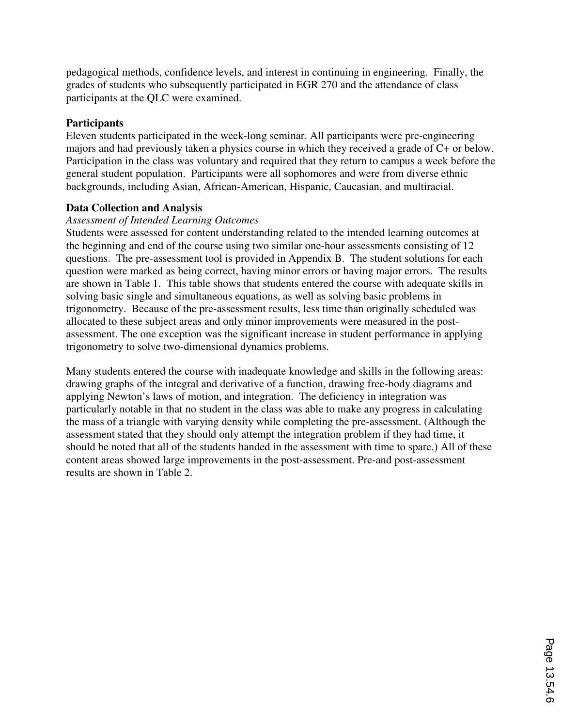pedagogical methods, confidence levels, and interest in continuing in engineering. Finally, the grades of students who subsequently participated in EGR 270 and the attendance of class participants at the QLC were examined.

#### **Participants**

Eleven students participated in the week-long seminar. All participants were pre-engineering majors and had previously taken a physics course in which they received a grade of C+ or below. Participation in the class was voluntary and required that they return to campus a week before the general student population. Participants were all sophomores and were from diverse ethnic backgrounds, including Asian, African-American, Hispanic, Caucasian, and multiracial.

#### **Data Collection and Analysis**

#### *Assessment of Intended Learning Outcomes*

Students were assessed for content understanding related to the intended learning outcomes at the beginning and end of the course using two similar one-hour assessments consisting of 12 questions. The pre-assessment tool is provided in Appendix B. The student solutions for each question were marked as being correct, having minor errors or having major errors. The results are shown in Table 1. This table shows that students entered the course with adequate skills in solving basic single and simultaneous equations, as well as solving basic problems in trigonometry. Because of the pre-assessment results, less time than originally scheduled was allocated to these subject areas and only minor improvements were measured in the postassessment. The one exception was the significant increase in student performance in applying trigonometry to solve two-dimensional dynamics problems.

Many students entered the course with inadequate knowledge and skills in the following areas: drawing graphs of the integral and derivative of a function, drawing free-body diagrams and applying Newton's laws of motion, and integration. The deficiency in integration was particularly notable in that no student in the class was able to make any progress in calculating the mass of a triangle with varying density while completing the pre-assessment. (Although the assessment stated that they should only attempt the integration problem if they had time, it should be noted that all of the students handed in the assessment with time to spare.) All of these content areas showed large improvements in the post-assessment. Pre-and post-assessment results are shown in Table 2.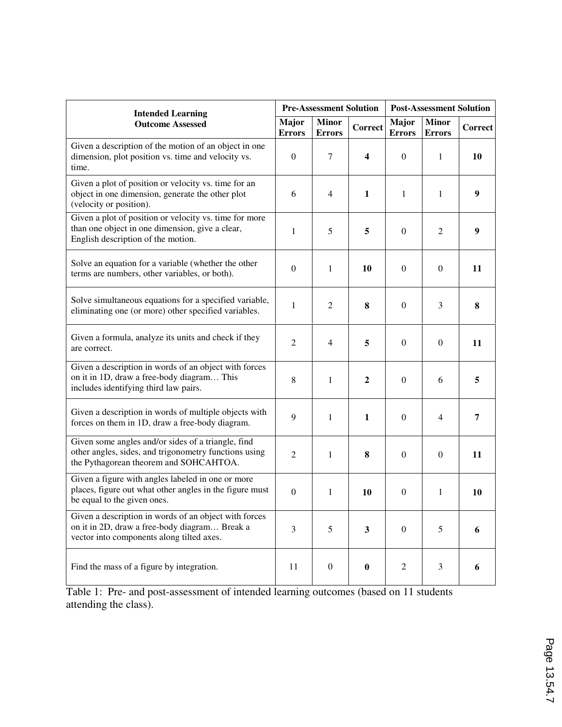| <b>Intended Learning</b>                                                                                                                              |                  | <b>Pre-Assessment Solution</b> |                  | <b>Post-Assessment Solution</b> |                               |         |  |
|-------------------------------------------------------------------------------------------------------------------------------------------------------|------------------|--------------------------------|------------------|---------------------------------|-------------------------------|---------|--|
| <b>Outcome Assessed</b>                                                                                                                               |                  | <b>Minor</b><br><b>Errors</b>  | Correct          | <b>Major</b><br><b>Errors</b>   | <b>Minor</b><br><b>Errors</b> | Correct |  |
| Given a description of the motion of an object in one<br>dimension, plot position vs. time and velocity vs.<br>time.                                  | $\boldsymbol{0}$ | 7                              | 4                | $\mathbf{0}$                    | 1                             | 10      |  |
| Given a plot of position or velocity vs. time for an<br>object in one dimension, generate the other plot<br>(velocity or position).                   | 6                | $\overline{4}$                 | 1                | 1                               | 1                             | 9       |  |
| Given a plot of position or velocity vs. time for more<br>than one object in one dimension, give a clear,<br>English description of the motion.       | 1                | 5                              | 5                | $\boldsymbol{0}$                | 2                             | 9       |  |
| Solve an equation for a variable (whether the other<br>terms are numbers, other variables, or both).                                                  | $\boldsymbol{0}$ | 1                              | 10               | $\boldsymbol{0}$                | $\boldsymbol{0}$              | 11      |  |
| Solve simultaneous equations for a specified variable,<br>eliminating one (or more) other specified variables.                                        | $\mathbf{1}$     | $\mathfrak{2}$                 | 8                | $\boldsymbol{0}$                | 3                             | 8       |  |
| Given a formula, analyze its units and check if they<br>are correct.                                                                                  | $\overline{2}$   | $\overline{4}$                 | 5                | $\mathbf{0}$                    | $\mathbf{0}$                  | 11      |  |
| Given a description in words of an object with forces<br>on it in 1D, draw a free-body diagram This<br>includes identifying third law pairs.          | 8                | 1                              | $\boldsymbol{2}$ | $\Omega$                        | 6                             | 5       |  |
| Given a description in words of multiple objects with<br>forces on them in 1D, draw a free-body diagram.                                              | 9                | 1                              | 1                | $\mathbf{0}$                    | 4                             | 7       |  |
| Given some angles and/or sides of a triangle, find<br>other angles, sides, and trigonometry functions using<br>the Pythagorean theorem and SOHCAHTOA. | $\overline{2}$   | 1                              | 8                | $\mathbf{0}$                    | $\overline{0}$                | 11      |  |
| Given a figure with angles labeled in one or more<br>places, figure out what other angles in the figure must<br>be equal to the given ones.           | $\boldsymbol{0}$ | 1                              | <b>10</b>        | $\theta$                        | 1                             | 10      |  |
| Given a description in words of an object with forces<br>on it in 2D, draw a free-body diagram Break a<br>vector into components along tilted axes.   | 3                | 5                              | $\mathbf{3}$     | $\boldsymbol{0}$                | 5                             | 6       |  |
| Find the mass of a figure by integration.                                                                                                             | 11               | $\boldsymbol{0}$               | $\bf{0}$         | $\overline{2}$                  | 3                             | 6       |  |

Table 1: Pre- and post-assessment of intended learning outcomes (based on 11 students attending the class).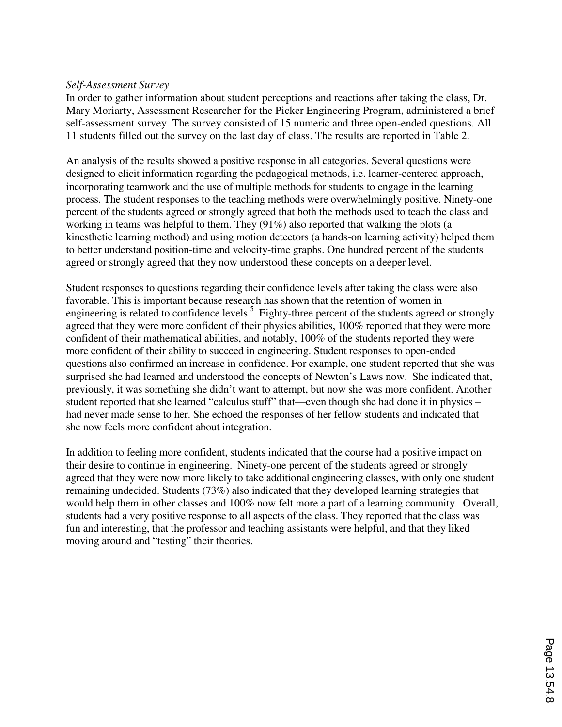#### *Self-Assessment Survey*

In order to gather information about student perceptions and reactions after taking the class, Dr. Mary Moriarty, Assessment Researcher for the Picker Engineering Program, administered a brief self-assessment survey. The survey consisted of 15 numeric and three open-ended questions. All 11 students filled out the survey on the last day of class. The results are reported in Table 2.

An analysis of the results showed a positive response in all categories. Several questions were designed to elicit information regarding the pedagogical methods, i.e. learner-centered approach, incorporating teamwork and the use of multiple methods for students to engage in the learning process. The student responses to the teaching methods were overwhelmingly positive. Ninety-one percent of the students agreed or strongly agreed that both the methods used to teach the class and working in teams was helpful to them. They (91%) also reported that walking the plots (a kinesthetic learning method) and using motion detectors (a hands-on learning activity) helped them to better understand position-time and velocity-time graphs. One hundred percent of the students agreed or strongly agreed that they now understood these concepts on a deeper level.

Student responses to questions regarding their confidence levels after taking the class were also favorable. This is important because research has shown that the retention of women in engineering is related to confidence levels.<sup>5</sup> Eighty-three percent of the students agreed or strongly agreed that they were more confident of their physics abilities, 100% reported that they were more confident of their mathematical abilities, and notably, 100% of the students reported they were more confident of their ability to succeed in engineering. Student responses to open-ended questions also confirmed an increase in confidence. For example, one student reported that she was surprised she had learned and understood the concepts of Newton's Laws now. She indicated that, previously, it was something she didn't want to attempt, but now she was more confident. Another student reported that she learned "calculus stuff" that—even though she had done it in physics – had never made sense to her. She echoed the responses of her fellow students and indicated that she now feels more confident about integration.

In addition to feeling more confident, students indicated that the course had a positive impact on their desire to continue in engineering. Ninety-one percent of the students agreed or strongly agreed that they were now more likely to take additional engineering classes, with only one student remaining undecided. Students (73%) also indicated that they developed learning strategies that would help them in other classes and 100% now felt more a part of a learning community. Overall, students had a very positive response to all aspects of the class. They reported that the class was fun and interesting, that the professor and teaching assistants were helpful, and that they liked moving around and "testing" their theories.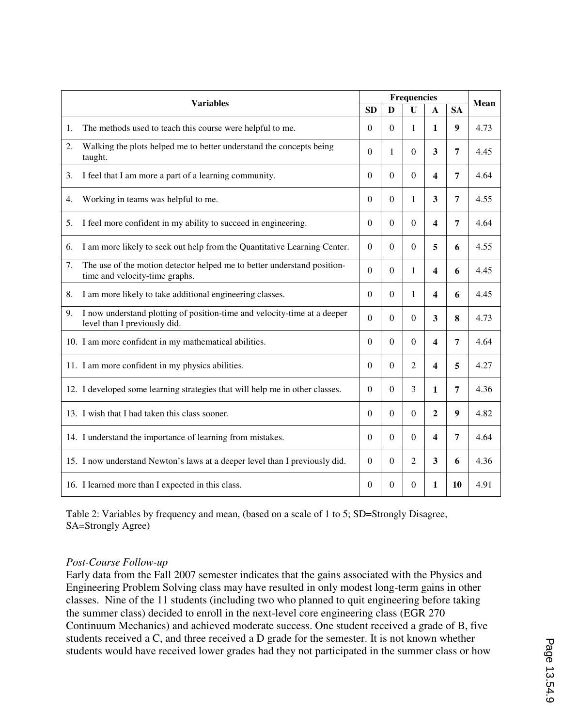| <b>Variables</b> |                                                                                                           |                  | Mean             |                |                         |                  |      |
|------------------|-----------------------------------------------------------------------------------------------------------|------------------|------------------|----------------|-------------------------|------------------|------|
|                  |                                                                                                           | <b>SD</b>        | D                | $\bf{U}$       | A                       | <b>SA</b>        |      |
| 1.               | The methods used to teach this course were helpful to me.                                                 | $\theta$         | $\overline{0}$   | 1              | 1                       | 9                | 4.73 |
| 2.               | Walking the plots helped me to better understand the concepts being<br>taught.                            | $\theta$         | 1                | $\Omega$       | 3                       | $\overline{7}$   | 4.45 |
| 3.               | I feel that I am more a part of a learning community.                                                     | $\theta$         | $\mathbf{0}$     | $\Omega$       | 4                       | $\overline{7}$   | 4.64 |
| 4.               | Working in teams was helpful to me.                                                                       | $\theta$         | $\boldsymbol{0}$ | 1              | 3                       | 7                | 4.55 |
| 5.               | I feel more confident in my ability to succeed in engineering.                                            | $\theta$         | $\Omega$         | $\Omega$       | 4                       | $\overline{7}$   | 4.64 |
| 6.               | I am more likely to seek out help from the Quantitative Learning Center.                                  | $\theta$         | $\boldsymbol{0}$ | $\Omega$       | 5                       | 6                | 4.55 |
| 7.               | The use of the motion detector helped me to better understand position-<br>time and velocity-time graphs. | $\overline{0}$   | $\boldsymbol{0}$ | 1              | 4                       | 6                | 4.45 |
| 8.               | I am more likely to take additional engineering classes.                                                  | $\theta$         | $\Omega$         | 1              | 4                       | 6                | 4.45 |
| 9.               | I now understand plotting of position-time and velocity-time at a deeper<br>level than I previously did.  | $\boldsymbol{0}$ | $\boldsymbol{0}$ | $\theta$       | 3                       | 8                | 4.73 |
|                  | 10. I am more confident in my mathematical abilities.                                                     | $\theta$         | $\overline{0}$   | $\Omega$       | 4                       | $\overline{7}$   | 4.64 |
|                  | 11. I am more confident in my physics abilities.                                                          | $\Omega$         | $\overline{0}$   | 2              | 4                       | 5                | 4.27 |
|                  | 12. I developed some learning strategies that will help me in other classes.                              | $\boldsymbol{0}$ | $\boldsymbol{0}$ | 3              | 1                       | 7                | 4.36 |
|                  | 13. I wish that I had taken this class sooner.                                                            | $\overline{0}$   | $\mathbf{0}$     | $\overline{0}$ | $\mathbf{2}$            | $\boldsymbol{9}$ | 4.82 |
|                  | 14. I understand the importance of learning from mistakes.                                                | $\Omega$         | $\overline{0}$   | $\Omega$       | $\overline{\mathbf{4}}$ | $\overline{7}$   | 4.64 |
|                  | 15. I now understand Newton's laws at a deeper level than I previously did.                               | $\Omega$         | $\boldsymbol{0}$ | 2              | 3                       | 6                | 4.36 |
|                  | 16. I learned more than I expected in this class.                                                         | $\boldsymbol{0}$ | $\boldsymbol{0}$ | 0              | 1                       | 10               | 4.91 |

Table 2: Variables by frequency and mean, (based on a scale of 1 to 5; SD=Strongly Disagree, SA=Strongly Agree)

#### *Post-Course Follow-up*

Early data from the Fall 2007 semester indicates that the gains associated with the Physics and Engineering Problem Solving class may have resulted in only modest long-term gains in other classes. Nine of the 11 students (including two who planned to quit engineering before taking the summer class) decided to enroll in the next-level core engineering class (EGR 270 Continuum Mechanics) and achieved moderate success. One student received a grade of B, five students received a C, and three received a D grade for the semester. It is not known whether students would have received lower grades had they not participated in the summer class or how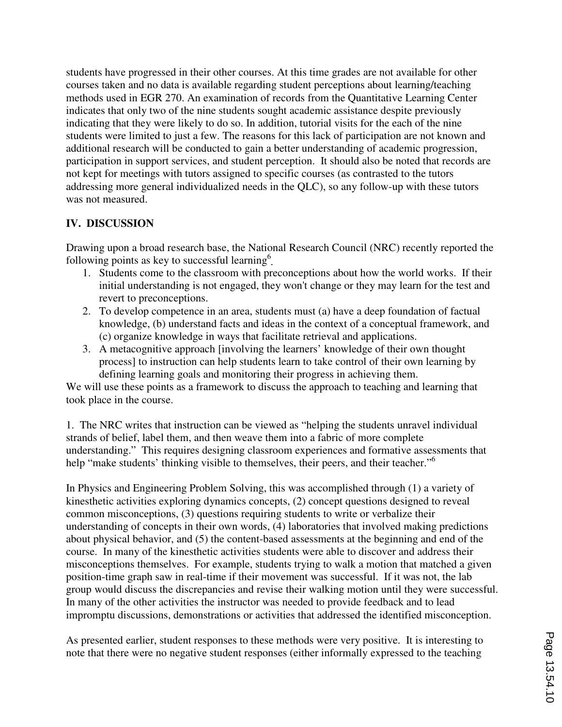students have progressed in their other courses. At this time grades are not available for other courses taken and no data is available regarding student perceptions about learning/teaching methods used in EGR 270. An examination of records from the Quantitative Learning Center indicates that only two of the nine students sought academic assistance despite previously indicating that they were likely to do so. In addition, tutorial visits for the each of the nine students were limited to just a few. The reasons for this lack of participation are not known and additional research will be conducted to gain a better understanding of academic progression, participation in support services, and student perception. It should also be noted that records are not kept for meetings with tutors assigned to specific courses (as contrasted to the tutors addressing more general individualized needs in the QLC), so any follow-up with these tutors was not measured.

#### **IV. DISCUSSION**

Drawing upon a broad research base, the National Research Council (NRC) recently reported the following points as key to successful learning<sup>6</sup>.

- 1. Students come to the classroom with preconceptions about how the world works. If their initial understanding is not engaged, they won't change or they may learn for the test and revert to preconceptions.
- 2. To develop competence in an area, students must (a) have a deep foundation of factual knowledge, (b) understand facts and ideas in the context of a conceptual framework, and (c) organize knowledge in ways that facilitate retrieval and applications.
- 3. A metacognitive approach [involving the learners' knowledge of their own thought process] to instruction can help students learn to take control of their own learning by defining learning goals and monitoring their progress in achieving them.

We will use these points as a framework to discuss the approach to teaching and learning that took place in the course.

1. The NRC writes that instruction can be viewed as "helping the students unravel individual strands of belief, label them, and then weave them into a fabric of more complete understanding." This requires designing classroom experiences and formative assessments that help "make students' thinking visible to themselves, their peers, and their teacher."<sup>6</sup>

In Physics and Engineering Problem Solving, this was accomplished through (1) a variety of kinesthetic activities exploring dynamics concepts, (2) concept questions designed to reveal common misconceptions, (3) questions requiring students to write or verbalize their understanding of concepts in their own words, (4) laboratories that involved making predictions about physical behavior, and (5) the content-based assessments at the beginning and end of the course. In many of the kinesthetic activities students were able to discover and address their misconceptions themselves. For example, students trying to walk a motion that matched a given position-time graph saw in real-time if their movement was successful. If it was not, the lab group would discuss the discrepancies and revise their walking motion until they were successful. In many of the other activities the instructor was needed to provide feedback and to lead impromptu discussions, demonstrations or activities that addressed the identified misconception.

As presented earlier, student responses to these methods were very positive. It is interesting to note that there were no negative student responses (either informally expressed to the teaching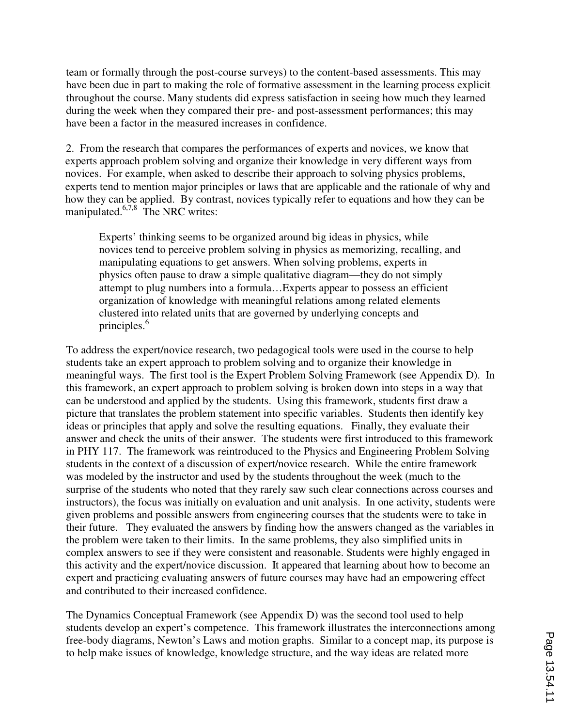team or formally through the post-course surveys) to the content-based assessments. This may have been due in part to making the role of formative assessment in the learning process explicit throughout the course. Many students did express satisfaction in seeing how much they learned during the week when they compared their pre- and post-assessment performances; this may have been a factor in the measured increases in confidence.

2. From the research that compares the performances of experts and novices, we know that experts approach problem solving and organize their knowledge in very different ways from novices. For example, when asked to describe their approach to solving physics problems, experts tend to mention major principles or laws that are applicable and the rationale of why and how they can be applied. By contrast, novices typically refer to equations and how they can be manipulated. $6,7,8$  The NRC writes:

Experts' thinking seems to be organized around big ideas in physics, while novices tend to perceive problem solving in physics as memorizing, recalling, and manipulating equations to get answers. When solving problems, experts in physics often pause to draw a simple qualitative diagram—they do not simply attempt to plug numbers into a formula…Experts appear to possess an efficient organization of knowledge with meaningful relations among related elements clustered into related units that are governed by underlying concepts and principles.<sup>6</sup>

To address the expert/novice research, two pedagogical tools were used in the course to help students take an expert approach to problem solving and to organize their knowledge in meaningful ways. The first tool is the Expert Problem Solving Framework (see Appendix D). In this framework, an expert approach to problem solving is broken down into steps in a way that can be understood and applied by the students. Using this framework, students first draw a picture that translates the problem statement into specific variables. Students then identify key ideas or principles that apply and solve the resulting equations. Finally, they evaluate their answer and check the units of their answer. The students were first introduced to this framework in PHY 117. The framework was reintroduced to the Physics and Engineering Problem Solving students in the context of a discussion of expert/novice research. While the entire framework was modeled by the instructor and used by the students throughout the week (much to the surprise of the students who noted that they rarely saw such clear connections across courses and instructors), the focus was initially on evaluation and unit analysis. In one activity, students were given problems and possible answers from engineering courses that the students were to take in their future. They evaluated the answers by finding how the answers changed as the variables in the problem were taken to their limits. In the same problems, they also simplified units in complex answers to see if they were consistent and reasonable. Students were highly engaged in this activity and the expert/novice discussion. It appeared that learning about how to become an expert and practicing evaluating answers of future courses may have had an empowering effect and contributed to their increased confidence.

The Dynamics Conceptual Framework (see Appendix D) was the second tool used to help students develop an expert's competence. This framework illustrates the interconnections among free-body diagrams, Newton's Laws and motion graphs. Similar to a concept map, its purpose is to help make issues of knowledge, knowledge structure, and the way ideas are related more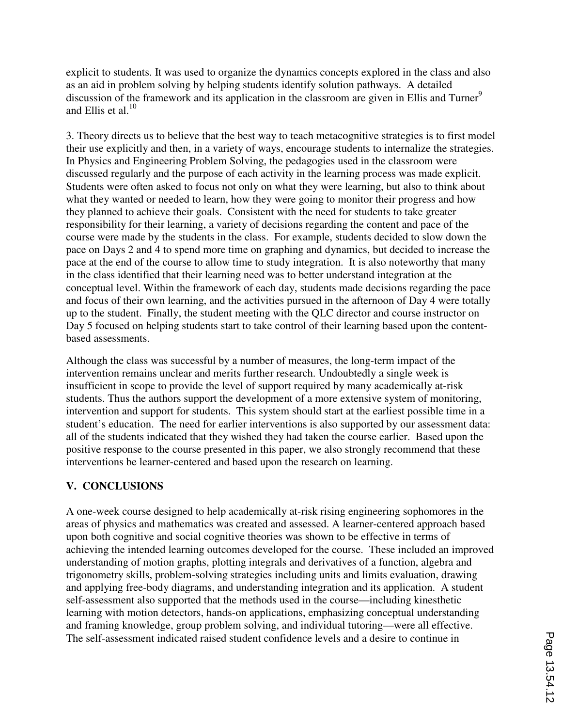explicit to students. It was used to organize the dynamics concepts explored in the class and also as an aid in problem solving by helping students identify solution pathways. A detailed discussion of the framework and its application in the classroom are given in Ellis and Turner<sup>9</sup> and Ellis et al. $^{10}$ 

3. Theory directs us to believe that the best way to teach metacognitive strategies is to first model their use explicitly and then, in a variety of ways, encourage students to internalize the strategies. In Physics and Engineering Problem Solving, the pedagogies used in the classroom were discussed regularly and the purpose of each activity in the learning process was made explicit. Students were often asked to focus not only on what they were learning, but also to think about what they wanted or needed to learn, how they were going to monitor their progress and how they planned to achieve their goals. Consistent with the need for students to take greater responsibility for their learning, a variety of decisions regarding the content and pace of the course were made by the students in the class. For example, students decided to slow down the pace on Days 2 and 4 to spend more time on graphing and dynamics, but decided to increase the pace at the end of the course to allow time to study integration. It is also noteworthy that many in the class identified that their learning need was to better understand integration at the conceptual level. Within the framework of each day, students made decisions regarding the pace and focus of their own learning, and the activities pursued in the afternoon of Day 4 were totally up to the student. Finally, the student meeting with the QLC director and course instructor on Day 5 focused on helping students start to take control of their learning based upon the contentbased assessments.

Although the class was successful by a number of measures, the long-term impact of the intervention remains unclear and merits further research. Undoubtedly a single week is insufficient in scope to provide the level of support required by many academically at-risk students. Thus the authors support the development of a more extensive system of monitoring, intervention and support for students. This system should start at the earliest possible time in a student's education. The need for earlier interventions is also supported by our assessment data: all of the students indicated that they wished they had taken the course earlier. Based upon the positive response to the course presented in this paper, we also strongly recommend that these interventions be learner-centered and based upon the research on learning.

### **V. CONCLUSIONS**

A one-week course designed to help academically at-risk rising engineering sophomores in the areas of physics and mathematics was created and assessed. A learner-centered approach based upon both cognitive and social cognitive theories was shown to be effective in terms of achieving the intended learning outcomes developed for the course. These included an improved understanding of motion graphs, plotting integrals and derivatives of a function, algebra and trigonometry skills, problem-solving strategies including units and limits evaluation, drawing and applying free-body diagrams, and understanding integration and its application. A student self-assessment also supported that the methods used in the course—including kinesthetic learning with motion detectors, hands-on applications, emphasizing conceptual understanding and framing knowledge, group problem solving, and individual tutoring—were all effective. The self-assessment indicated raised student confidence levels and a desire to continue in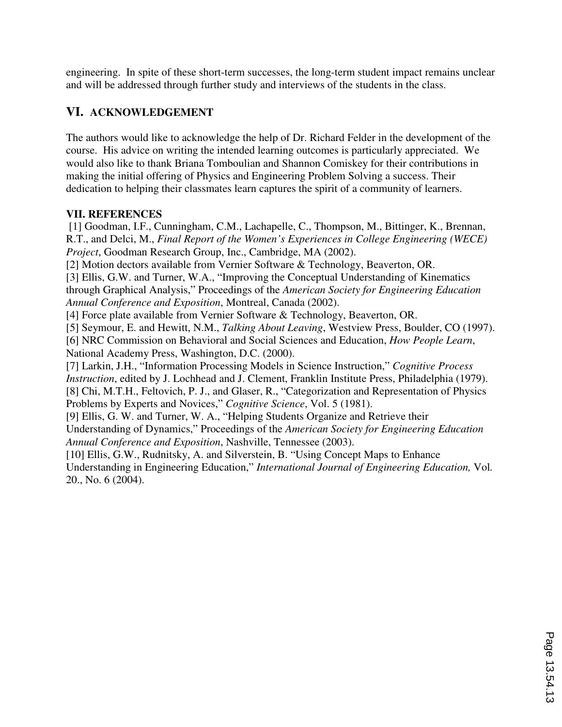engineering. In spite of these short-term successes, the long-term student impact remains unclear and will be addressed through further study and interviews of the students in the class.

## **VI. ACKNOWLEDGEMENT**

The authors would like to acknowledge the help of Dr. Richard Felder in the development of the course. His advice on writing the intended learning outcomes is particularly appreciated. We would also like to thank Briana Tomboulian and Shannon Comiskey for their contributions in making the initial offering of Physics and Engineering Problem Solving a success. Their dedication to helping their classmates learn captures the spirit of a community of learners.

#### **VII. REFERENCES**

 [1] Goodman, I.F., Cunningham, C.M., Lachapelle, C., Thompson, M., Bittinger, K., Brennan, R.T., and Delci, M., *Final Report of the Women's Experiences in College Engineering (WECE) Project*, Goodman Research Group, Inc., Cambridge, MA (2002). [2] Motion dectors available from Vernier Software & Technology, Beaverton, OR. [3] Ellis, G.W. and Turner, W.A., "Improving the Conceptual Understanding of Kinematics through Graphical Analysis," Proceedings of the *American Society for Engineering Education Annual Conference and Exposition*, Montreal, Canada (2002). [4] Force plate available from Vernier Software & Technology, Beaverton, OR. [5] Seymour, E. and Hewitt, N.M., *Talking About Leaving*, Westview Press, Boulder, CO (1997). [6] NRC Commission on Behavioral and Social Sciences and Education, *How People Learn*, National Academy Press, Washington, D.C. (2000). [7] Larkin, J.H., "Information Processing Models in Science Instruction," *Cognitive Process Instruction*, edited by J. Lochhead and J. Clement, Franklin Institute Press, Philadelphia (1979). [8] Chi, M.T.H., Feltovich, P. J., and Glaser, R., "Categorization and Representation of Physics Problems by Experts and Novices," *Cognitive Science*, Vol. 5 (1981). [9] Ellis, G. W. and Turner, W. A., "Helping Students Organize and Retrieve their

Understanding of Dynamics," Proceedings of the *American Society for Engineering Education Annual Conference and Exposition*, Nashville, Tennessee (2003).

[10] Ellis, G.W., Rudnitsky, A. and Silverstein, B. "Using Concept Maps to Enhance Understanding in Engineering Education," *International Journal of Engineering Education,* Vol*.* 20., No. 6 (2004).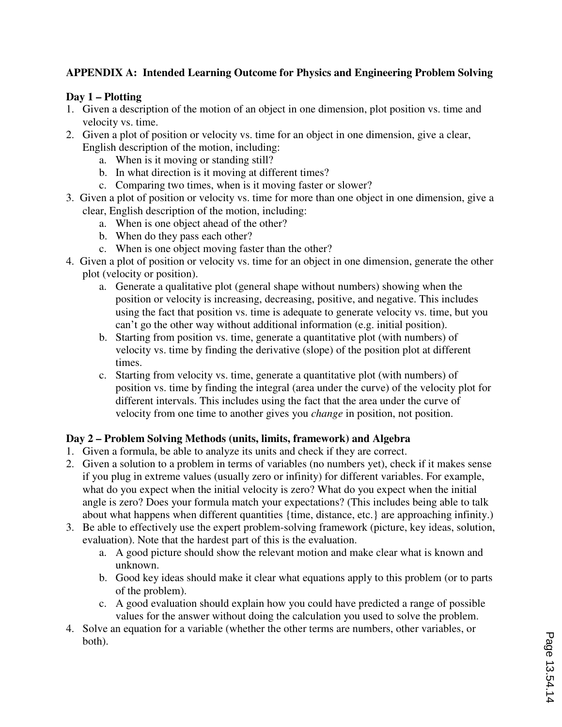### **APPENDIX A: Intended Learning Outcome for Physics and Engineering Problem Solving**

#### **Day 1 – Plotting**

- 1. Given a description of the motion of an object in one dimension, plot position vs. time and velocity vs. time.
- 2. Given a plot of position or velocity vs. time for an object in one dimension, give a clear, English description of the motion, including:
	- a. When is it moving or standing still?
	- b. In what direction is it moving at different times?
	- c. Comparing two times, when is it moving faster or slower?
- 3. Given a plot of position or velocity vs. time for more than one object in one dimension, give a clear, English description of the motion, including:
	- a. When is one object ahead of the other?
	- b. When do they pass each other?
	- c. When is one object moving faster than the other?
- 4. Given a plot of position or velocity vs. time for an object in one dimension, generate the other plot (velocity or position).
	- a. Generate a qualitative plot (general shape without numbers) showing when the position or velocity is increasing, decreasing, positive, and negative. This includes using the fact that position vs. time is adequate to generate velocity vs. time, but you can't go the other way without additional information (e.g. initial position).
	- b. Starting from position vs. time, generate a quantitative plot (with numbers) of velocity vs. time by finding the derivative (slope) of the position plot at different times.
	- c. Starting from velocity vs. time, generate a quantitative plot (with numbers) of position vs. time by finding the integral (area under the curve) of the velocity plot for different intervals. This includes using the fact that the area under the curve of velocity from one time to another gives you *change* in position, not position.

#### **Day 2 – Problem Solving Methods (units, limits, framework) and Algebra**

- 1. Given a formula, be able to analyze its units and check if they are correct.
- 2. Given a solution to a problem in terms of variables (no numbers yet), check if it makes sense if you plug in extreme values (usually zero or infinity) for different variables. For example, what do you expect when the initial velocity is zero? What do you expect when the initial angle is zero? Does your formula match your expectations? (This includes being able to talk about what happens when different quantities {time, distance, etc.} are approaching infinity.)
- 3. Be able to effectively use the expert problem-solving framework (picture, key ideas, solution, evaluation). Note that the hardest part of this is the evaluation.
	- a. A good picture should show the relevant motion and make clear what is known and unknown.
	- b. Good key ideas should make it clear what equations apply to this problem (or to parts of the problem).
	- c. A good evaluation should explain how you could have predicted a range of possible values for the answer without doing the calculation you used to solve the problem.
- 4. Solve an equation for a variable (whether the other terms are numbers, other variables, or both).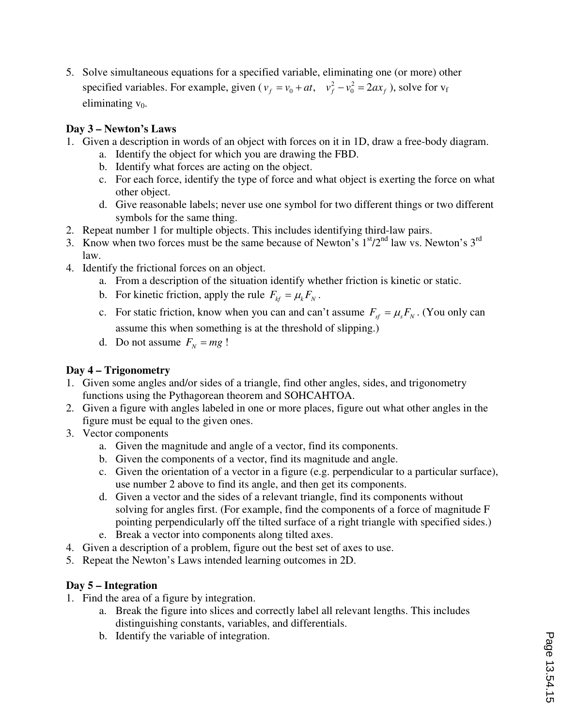5. Solve simultaneous equations for a specified variable, eliminating one (or more) other specified variables. For example, given ( $v_f = v_0 + at$ ,  $v_f^2 - v_0^2 = 2ax_f$ ), solve for  $v_f$ eliminating  $v_0$ .

#### **Day 3 – Newton's Laws**

- 1. Given a description in words of an object with forces on it in 1D, draw a free-body diagram.
	- a. Identify the object for which you are drawing the FBD.
	- b. Identify what forces are acting on the object.
	- c. For each force, identify the type of force and what object is exerting the force on what other object.
	- d. Give reasonable labels; never use one symbol for two different things or two different symbols for the same thing.
- 2. Repeat number 1 for multiple objects. This includes identifying third-law pairs.
- 3. Know when two forces must be the same because of Newton's  $1<sup>st</sup>/2<sup>nd</sup>$  law vs. Newton's  $3<sup>rd</sup>$ law.
- 4. Identify the frictional forces on an object.
	- a. From a description of the situation identify whether friction is kinetic or static.
	- b. For kinetic friction, apply the rule  $F_{k} = \mu_k F_N$ .
	- c. For static friction, know when you can and can't assume  $F_{sf} = \mu_s F_N$ . (You only can assume this when something is at the threshold of slipping.)
	- d. Do not assume  $F<sub>N</sub> = mg$ !

### **Day 4 – Trigonometry**

- 1. Given some angles and/or sides of a triangle, find other angles, sides, and trigonometry functions using the Pythagorean theorem and SOHCAHTOA.
- 2. Given a figure with angles labeled in one or more places, figure out what other angles in the figure must be equal to the given ones.
- 3. Vector components
	- a. Given the magnitude and angle of a vector, find its components.
	- b. Given the components of a vector, find its magnitude and angle.
	- c. Given the orientation of a vector in a figure (e.g. perpendicular to a particular surface), use number 2 above to find its angle, and then get its components.
	- d. Given a vector and the sides of a relevant triangle, find its components without solving for angles first. (For example, find the components of a force of magnitude F pointing perpendicularly off the tilted surface of a right triangle with specified sides.)
	- e. Break a vector into components along tilted axes.
- 4. Given a description of a problem, figure out the best set of axes to use.
- 5. Repeat the Newton's Laws intended learning outcomes in 2D.

### **Day 5 – Integration**

- 1. Find the area of a figure by integration.
	- a. Break the figure into slices and correctly label all relevant lengths. This includes distinguishing constants, variables, and differentials.
	- b. Identify the variable of integration.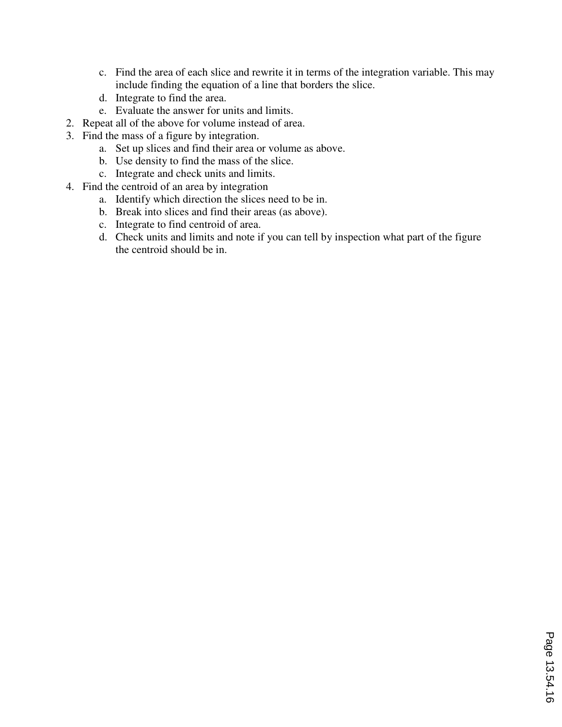- c. Find the area of each slice and rewrite it in terms of the integration variable. This may include finding the equation of a line that borders the slice.
- d. Integrate to find the area.
- e. Evaluate the answer for units and limits.
- 2. Repeat all of the above for volume instead of area.
- 3. Find the mass of a figure by integration.
	- a. Set up slices and find their area or volume as above.
	- b. Use density to find the mass of the slice.
	- c. Integrate and check units and limits.
- 4. Find the centroid of an area by integration
	- a. Identify which direction the slices need to be in.
	- b. Break into slices and find their areas (as above).
	- c. Integrate to find centroid of area.
	- d. Check units and limits and note if you can tell by inspection what part of the figure the centroid should be in.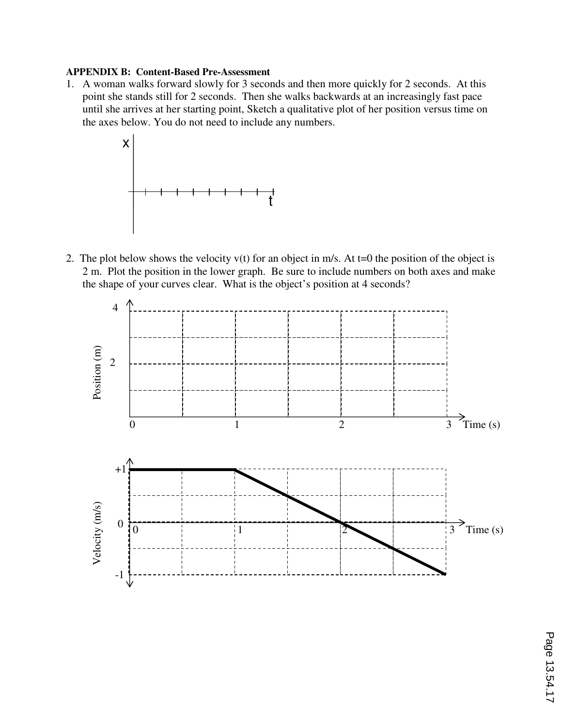#### **APPENDIX B: Content-Based Pre-Assessment**

1. A woman walks forward slowly for 3 seconds and then more quickly for 2 seconds. At this point she stands still for 2 seconds. Then she walks backwards at an increasingly fast pace until she arrives at her starting point, Sketch a qualitative plot of her position versus time on the axes below. You do not need to include any numbers.



2. The plot below shows the velocity  $v(t)$  for an object in m/s. At t=0 the position of the object is 2 m. Plot the position in the lower graph. Be sure to include numbers on both axes and make the shape of your curves clear. What is the object's position at 4 seconds?

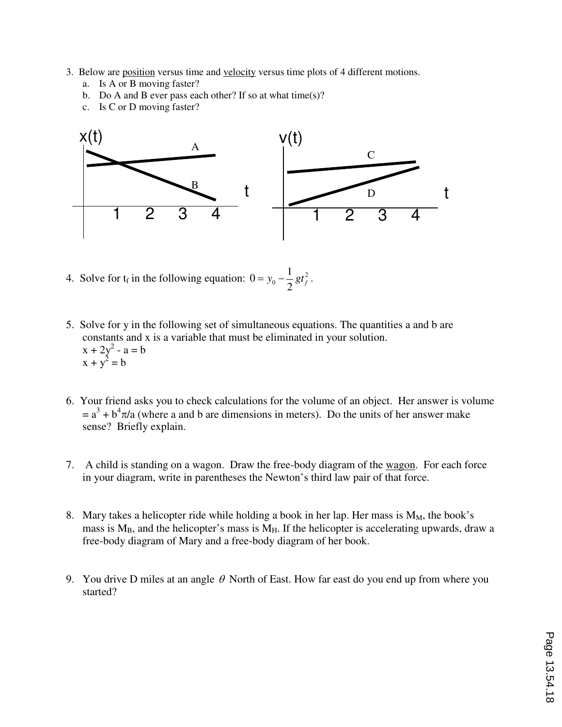- 3. Below are position versus time and velocity versus time plots of 4 different motions.
	- a. Is A or B moving faster?
	- b. Do A and B ever pass each other? If so at what time(s)?
	- c. Is C or D moving faster?



- 4. Solve for  $t_f$  in the following equation:  $0 = y_0 \frac{1}{2}gt_f^2$  $0 = y_0 - \frac{1}{2}$  $= y_0 - \frac{1}{2}gt_f^2$ .
- 5. Solve for y in the following set of simultaneous equations. The quantities a and b are constants and x is a variable that must be eliminated in your solution.  $x + 2y^2 - a = b$  $x + y^2 = b$
- 6. Your friend asks you to check calculations for the volume of an object. Her answer is volume  $= a<sup>3</sup> + b<sup>4</sup> \pi/a$  (where a and b are dimensions in meters). Do the units of her answer make sense? Briefly explain.
- 7. A child is standing on a wagon. Draw the free-body diagram of the wagon. For each force in your diagram, write in parentheses the Newton's third law pair of that force.
- 8. Mary takes a helicopter ride while holding a book in her lap. Her mass is  $M_M$ , the book's mass is  $M_B$ , and the helicopter's mass is  $M_H$ . If the helicopter is accelerating upwards, draw a free-body diagram of Mary and a free-body diagram of her book.
- 9. You drive D miles at an angle  $\theta$  North of East. How far east do you end up from where you started?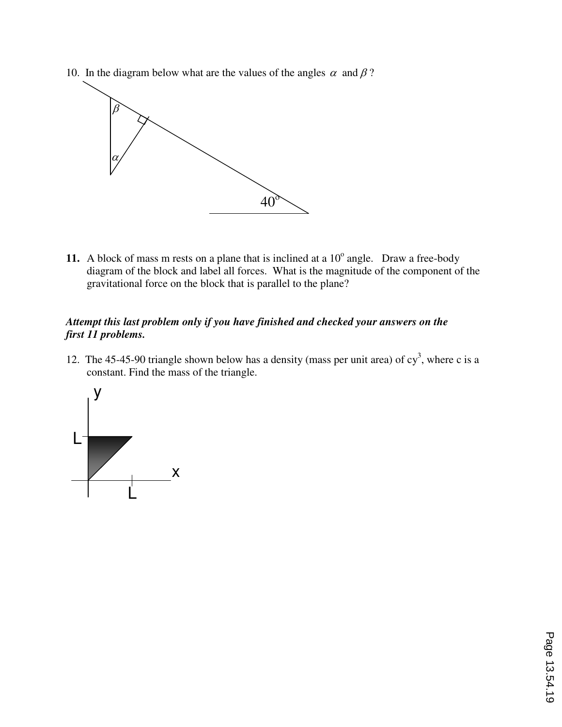10. In the diagram below what are the values of the angles  $\alpha$  and  $\beta$ ?



11. A block of mass m rests on a plane that is inclined at a  $10^{\circ}$  angle. Draw a free-body diagram of the block and label all forces. What is the magnitude of the component of the gravitational force on the block that is parallel to the plane?

#### *Attempt this last problem only if you have finished and checked your answers on the first 11 problems.*

12. The 45-45-90 triangle shown below has a density (mass per unit area) of  $cy<sup>3</sup>$ , where c is a constant. Find the mass of the triangle.

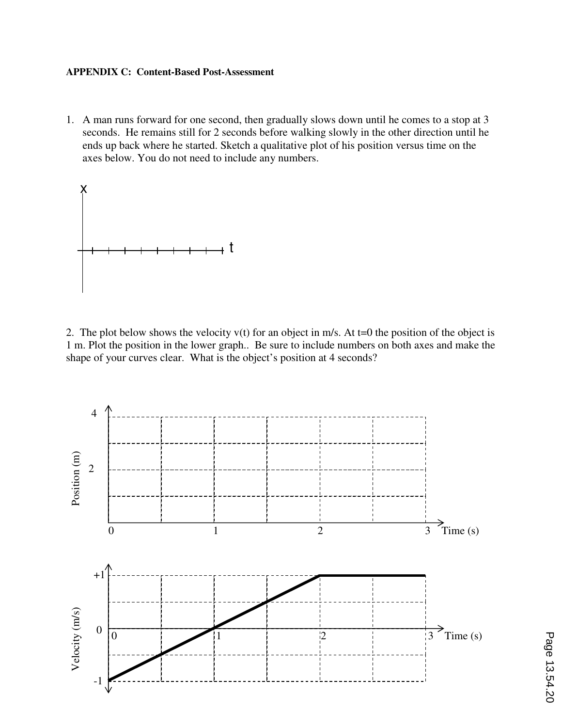#### **APPENDIX C: Content-Based Post-Assessment**

1. A man runs forward for one second, then gradually slows down until he comes to a stop at 3 seconds. He remains still for 2 seconds before walking slowly in the other direction until he ends up back where he started. Sketch a qualitative plot of his position versus time on the axes below. You do not need to include any numbers.



2. The plot below shows the velocity  $v(t)$  for an object in m/s. At t=0 the position of the object is 1 m. Plot the position in the lower graph.. Be sure to include numbers on both axes and make the shape of your curves clear. What is the object's position at 4 seconds?

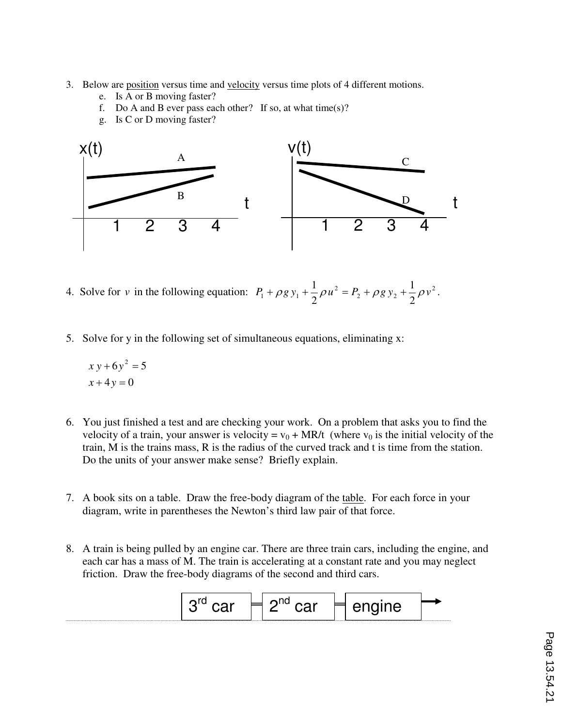- 3. Below are <u>position</u> versus time and <u>velocity</u> versus time plots of 4 different motions.
	- e. Is A or B moving faster?
	- f. Do A and B ever pass each other? If so, at what time(s)?
	- g. Is C or D moving faster?



- 4. Solve for *v* in the following equation:  $P_1 + \rho g y_1 + \frac{1}{2} \rho u^2 = P_2 + \rho g y_2 + \frac{1}{2} \rho v^2$ 2  $1 + P8y_1 + P9u = 12 + P8y_2 + P$ 1 2  $P_1 + \rho g y_1 + \frac{1}{2} \rho u^2 = P_2 + \rho g y_2 + \frac{1}{2} \rho v^2$ .
- 5. Solve for y in the following set of simultaneous equations, eliminating x:

$$
xy + 6y^2 = 5
$$

$$
x + 4y = 0
$$

- 6. You just finished a test and are checking your work. On a problem that asks you to find the velocity of a train, your answer is velocity =  $v_0$  + MR/t (where  $v_0$  is the initial velocity of the train, M is the trains mass, R is the radius of the curved track and t is time from the station. Do the units of your answer make sense? Briefly explain.
- 7. A book sits on a table. Draw the free-body diagram of the table. For each force in your diagram, write in parentheses the Newton's third law pair of that force.
- 8. A train is being pulled by an engine car. There are three train cars, including the engine, and each car has a mass of M. The train is accelerating at a constant rate and you may neglect friction. Draw the free-body diagrams of the second and third cars.

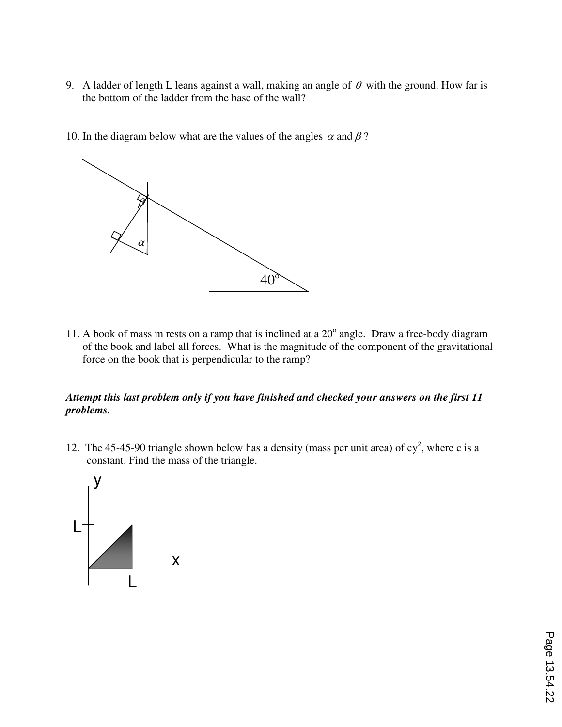- 9. A ladder of length L leans against a wall, making an angle of  $\theta$  with the ground. How far is the bottom of the ladder from the base of the wall?
- 10. In the diagram below what are the values of the angles  $\alpha$  and  $\beta$ ?



11. A book of mass m rests on a ramp that is inclined at a  $20^{\circ}$  angle. Draw a free-body diagram of the book and label all forces. What is the magnitude of the component of the gravitational force on the book that is perpendicular to the ramp?

#### *Attempt this last problem only if you have finished and checked your answers on the first 11 problems.*

12. The 45-45-90 triangle shown below has a density (mass per unit area) of  $cy^2$ , where c is a constant. Find the mass of the triangle.

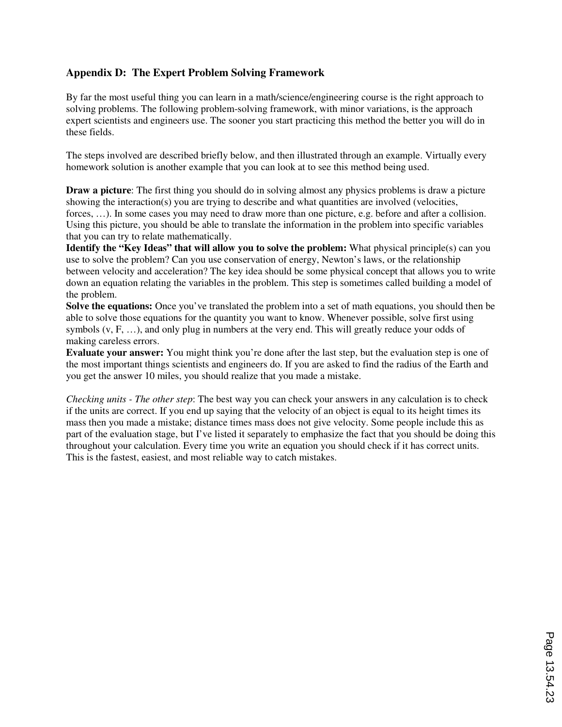#### **Appendix D: The Expert Problem Solving Framework**

By far the most useful thing you can learn in a math/science/engineering course is the right approach to solving problems. The following problem-solving framework, with minor variations, is the approach expert scientists and engineers use. The sooner you start practicing this method the better you will do in these fields.

The steps involved are described briefly below, and then illustrated through an example. Virtually every homework solution is another example that you can look at to see this method being used.

**Draw a picture**: The first thing you should do in solving almost any physics problems is draw a picture showing the interaction(s) you are trying to describe and what quantities are involved (velocities, forces, ...). In some cases you may need to draw more than one picture, e.g. before and after a collision. Using this picture, you should be able to translate the information in the problem into specific variables that you can try to relate mathematically.

**Identify the "Key Ideas" that will allow you to solve the problem:** What physical principle(s) can you use to solve the problem? Can you use conservation of energy, Newton's laws, or the relationship between velocity and acceleration? The key idea should be some physical concept that allows you to write down an equation relating the variables in the problem. This step is sometimes called building a model of the problem.

**Solve the equations:** Once you've translated the problem into a set of math equations, you should then be able to solve those equations for the quantity you want to know. Whenever possible, solve first using symbols (v, F, …), and only plug in numbers at the very end. This will greatly reduce your odds of making careless errors.

**Evaluate your answer:** You might think you're done after the last step, but the evaluation step is one of the most important things scientists and engineers do. If you are asked to find the radius of the Earth and you get the answer 10 miles, you should realize that you made a mistake.

*Checking units - The other step*: The best way you can check your answers in any calculation is to check if the units are correct. If you end up saying that the velocity of an object is equal to its height times its mass then you made a mistake; distance times mass does not give velocity. Some people include this as part of the evaluation stage, but I've listed it separately to emphasize the fact that you should be doing this throughout your calculation. Every time you write an equation you should check if it has correct units. This is the fastest, easiest, and most reliable way to catch mistakes.